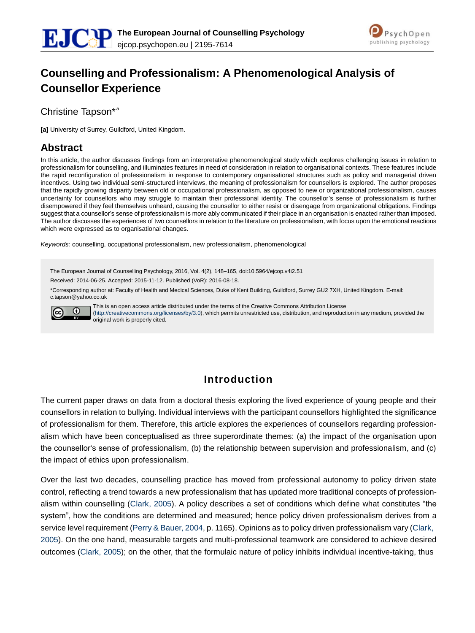



# **Counselling and Professionalism: A Phenomenological Analysis of Counsellor Experience**

Christine Tapson\*<sup>a</sup>

**[a]** University of Surrey, Guildford, United Kingdom.

#### **Abstract**

In this article, the author discusses findings from an interpretative phenomenological study which explores challenging issues in relation to professionalism for counselling, and illuminates features in need of consideration in relation to organisational contexts. These features include the rapid reconfiguration of professionalism in response to contemporary organisational structures such as policy and managerial driven incentives. Using two individual semi-structured interviews, the meaning of professionalism for counsellors is explored. The author proposes that the rapidly growing disparity between old or occupational professionalism, as opposed to new or organizational professionalism, causes uncertainty for counsellors who may struggle to maintain their professional identity. The counsellor's sense of professionalism is further disempowered if they feel themselves unheard, causing the counsellor to either resist or disengage from organizational obligations. Findings suggest that a counsellor's sense of professionalism is more ably communicated if their place in an organisation is enacted rather than imposed. The author discusses the experiences of two counsellors in relation to the literature on professionalism, with focus upon the emotional reactions which were expressed as to organisational changes.

*Keywords:* counselling, occupational professionalism, new professionalism, phenomenological

The European Journal of Counselling Psychology, 2016, Vol. 4(2), 148–165, doi:10.5964/ejcop.v4i2.51

Received: 2014-06-25. Accepted: 2015-11-12. Published (VoR): 2016-08-18.

\*Corresponding author at: Faculty of Health and Medical Sciences, Duke of Kent Building, Guildford, Surrey GU2 7XH, United Kingdom. E-mail: [c.tapson@yahoo.co.uk](mailto:c.tapson@yahoo.co.uk)



This is an open access article distributed under the terms of the Creative Commons Attribution License [\(http://creativecommons.org/licenses/by/3.0\),](http://creativecommons.org/licenses/by/3.0) which permits unrestricted use, distribution, and reproduction in any medium, provided the original work is properly cited.

## **Introduction**

The current paper draws on data from a doctoral thesis exploring the lived experience of young people and their counsellors in relation to bullying. Individual interviews with the participant counsellors highlighted the significance of professionalism for them. Therefore, this article explores the experiences of counsellors regarding professionalism which have been conceptualised as three superordinate themes: (a) the impact of the organisation upon the counsellor's sense of professionalism, (b) the relationship between supervision and professionalism, and (c) the impact of ethics upon professionalism.

Over the last two decades, counselling practice has moved from professional autonomy to policy driven state control, reflecting a trend towards a new professionalism that has updated more traditional concepts of professionalism within counselling (Clark, 2005). A policy describes a set of conditions which define what constitutes "the system", how the conditions are determined and measured; hence policy driven professionalism derives from a service level requirement (Perry & Bauer, 2004, p. 1165). Opinions as to policy driven professionalism vary (Clark, 2005). On the one hand, measurable targets and multi-professional teamwork are considered to achieve desired outcomes (Clark, 2005); on the other, that the formulaic nature of policy inhibits individual incentive-taking, thus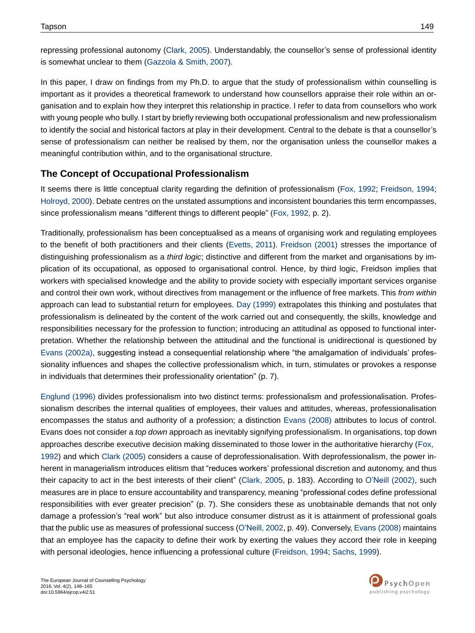repressing professional autonomy (Clark, 2005). Understandably, the counsellor's sense of professional identity is somewhat unclear to them (Gazzola & Smith, 2007).

In this paper, I draw on findings from my Ph.D. to argue that the study of professionalism within counselling is important as it provides a theoretical framework to understand how counsellors appraise their role within an organisation and to explain how they interpret this relationship in practice. I refer to data from counsellors who work with young people who bully. I start by briefly reviewing both occupational professionalism and new professionalism to identify the social and historical factors at play in their development. Central to the debate is that a counsellor's sense of professionalism can neither be realised by them, nor the organisation unless the counsellor makes a meaningful contribution within, and to the organisational structure.

#### **The Concept of Occupational Professionalism**

It seems there is little conceptual clarity regarding the definition of professionalism (Fox, 1992; Freidson, 1994; Holroyd, 2000). Debate centres on the unstated assumptions and inconsistent boundaries this term encompasses, since professionalism means "different things to different people" (Fox, 1992, p. 2).

Traditionally, professionalism has been conceptualised as a means of organising work and regulating employees to the benefit of both practitioners and their clients (Evetts, 2011). Freidson (2001) stresses the importance of distinguishing professionalism as a *third logic*; distinctive and different from the market and organisations by implication of its occupational, as opposed to organisational control. Hence, by third logic, Freidson implies that workers with specialised knowledge and the ability to provide society with especially important services organise and control their own work, without directives from management or the influence of free markets. This *from within*  approach can lead to substantial return for employees. Day (1999) extrapolates this thinking and postulates that professionalism is delineated by the content of the work carried out and consequently, the skills, knowledge and responsibilities necessary for the profession to function; introducing an attitudinal as opposed to functional interpretation. Whether the relationship between the attitudinal and the functional is unidirectional is questioned by Evans (2002a), suggesting instead a consequential relationship where "the amalgamation of individuals' professionality influences and shapes the collective professionalism which, in turn, stimulates or provokes a response in individuals that determines their professionality orientation" (p. 7).

Englund (1996) divides professionalism into two distinct terms: professionalism and professionalisation. Professionalism describes the internal qualities of employees, their values and attitudes, whereas, professionalisation encompasses the status and authority of a profession; a distinction Evans (2008) attributes to locus of control. Evans does not consider a *top down* approach as inevitably signifying professionalism. In organisations, top down approaches describe executive decision making disseminated to those lower in the authoritative hierarchy (Fox, 1992) and which Clark (2005) considers a cause of deprofessionalisation. With deprofessionalism, the power inherent in managerialism introduces elitism that "reduces workers' professional discretion and autonomy, and thus their capacity to act in the best interests of their client" (Clark, 2005, p. 183). According to O'Neill (2002), such measures are in place to ensure accountability and transparency, meaning "professional codes define professional responsibilities with ever greater precision" (p. 7). She considers these as unobtainable demands that not only damage a profession's "real work" but also introduce consumer distrust as it is attainment of professional goals that the public use as measures of professional success (O'Neill, 2002, p. 49). Conversely, Evans (2008) maintains that an employee has the capacity to define their work by exerting the values they accord their role in keeping with personal ideologies, hence influencing a professional culture (Freidson, 1994; Sachs, 1999).

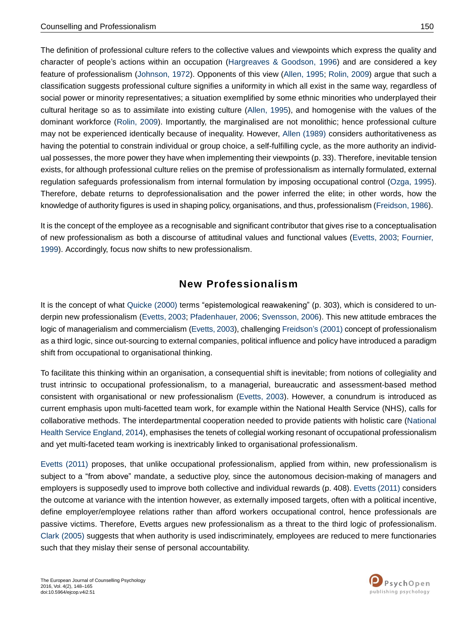The definition of professional culture refers to the collective values and viewpoints which express the quality and character of people's actions within an occupation (Hargreaves & Goodson, 1996) and are considered a key feature of professionalism (Johnson, 1972). Opponents of this view (Allen, 1995; Rolin, 2009) argue that such a classification suggests professional culture signifies a uniformity in which all exist in the same way, regardless of social power or minority representatives; a situation exemplified by some ethnic minorities who underplayed their cultural heritage so as to assimilate into existing culture (Allen, 1995), and homogenise with the values of the dominant workforce (Rolin, 2009). Importantly, the marginalised are not monolithic; hence professional culture may not be experienced identically because of inequality. However, Allen (1989) considers authoritativeness as having the potential to constrain individual or group choice, a self-fulfilling cycle, as the more authority an individual possesses, the more power they have when implementing their viewpoints (p. 33). Therefore, inevitable tension exists, for although professional culture relies on the premise of professionalism as internally formulated, external regulation safeguards professionalism from internal formulation by imposing occupational control (Ozga, 1995). Therefore, debate returns to deprofessionalisation and the power inferred the elite; in other words, how the knowledge of authority figures is used in shaping policy, organisations, and thus, professionalism (Freidson, 1986).

It is the concept of the employee as a recognisable and significant contributor that gives rise to a conceptualisation of new professionalism as both a discourse of attitudinal values and functional values (Evetts, 2003; Fournier, 1999). Accordingly, focus now shifts to new professionalism.

## **New Professionalism**

It is the concept of what Quicke (2000) terms "epistemological reawakening" (p. 303), which is considered to underpin new professionalism (Evetts, 2003; Pfadenhauer, 2006; Svensson, 2006). This new attitude embraces the logic of managerialism and commercialism (Evetts, 2003), challenging Freidson's (2001) concept of professionalism as a third logic, since out-sourcing to external companies, political influence and policy have introduced a paradigm shift from occupational to organisational thinking.

To facilitate this thinking within an organisation, a consequential shift is inevitable; from notions of collegiality and trust intrinsic to occupational professionalism, to a managerial, bureaucratic and assessment-based method consistent with organisational or new professionalism (Evetts, 2003). However, a conundrum is introduced as current emphasis upon multi-facetted team work, for example within the National Health Service (NHS), calls for collaborative methods. The interdepartmental cooperation needed to provide patients with holistic care (National Health Service England, 2014), emphasises the tenets of collegial working resonant of occupational professionalism and yet multi-faceted team working is inextricably linked to organisational professionalism.

Evetts (2011) proposes, that unlike occupational professionalism, applied from within, new professionalism is subject to a "from above" mandate, a seductive ploy, since the autonomous decision-making of managers and employers is supposedly used to improve both collective and individual rewards (p. 408). Evetts (2011) considers the outcome at variance with the intention however, as externally imposed targets, often with a political incentive, define employer/employee relations rather than afford workers occupational control, hence professionals are passive victims. Therefore, Evetts argues new professionalism as a threat to the third logic of professionalism. Clark (2005) suggests that when authority is used indiscriminately, employees are reduced to mere functionaries such that they mislay their sense of personal accountability.

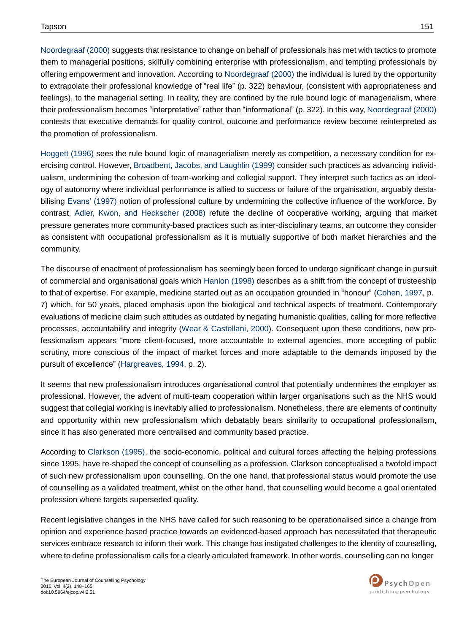Noordegraaf (2000) suggests that resistance to change on behalf of professionals has met with tactics to promote them to managerial positions, skilfully combining enterprise with professionalism, and tempting professionals by offering empowerment and innovation. According to Noordegraaf (2000) the individual is lured by the opportunity to extrapolate their professional knowledge of "real life" (p. 322) behaviour, (consistent with appropriateness and feelings), to the managerial setting. In reality, they are confined by the rule bound logic of managerialism, where their professionalism becomes "interpretative" rather than "informational" (p. 322). In this way, Noordegraaf (2000) contests that executive demands for quality control, outcome and performance review become reinterpreted as the promotion of professionalism.

Hoggett (1996) sees the rule bound logic of managerialism merely as competition, a necessary condition for exercising control. However, Broadbent, Jacobs, and Laughlin (1999) consider such practices as advancing individualism, undermining the cohesion of team-working and collegial support. They interpret such tactics as an ideology of autonomy where individual performance is allied to success or failure of the organisation, arguably destabilising Evans' (1997) notion of professional culture by undermining the collective influence of the workforce. By contrast, Adler, Kwon, and Heckscher (2008) refute the decline of cooperative working, arguing that market pressure generates more community-based practices such as inter-disciplinary teams, an outcome they consider as consistent with occupational professionalism as it is mutually supportive of both market hierarchies and the community.

The discourse of enactment of professionalism has seemingly been forced to undergo significant change in pursuit of commercial and organisational goals which Hanlon (1998) describes as a shift from the concept of trusteeship to that of expertise. For example, medicine started out as an occupation grounded in "honour" (Cohen, 1997, p. 7) which, for 50 years, placed emphasis upon the biological and technical aspects of treatment. Contemporary evaluations of medicine claim such attitudes as outdated by negating humanistic qualities, calling for more reflective processes, accountability and integrity (Wear & Castellani, 2000). Consequent upon these conditions, new professionalism appears "more client-focused, more accountable to external agencies, more accepting of public scrutiny, more conscious of the impact of market forces and more adaptable to the demands imposed by the pursuit of excellence" (Hargreaves, 1994, p. 2).

It seems that new professionalism introduces organisational control that potentially undermines the employer as professional. However, the advent of multi-team cooperation within larger organisations such as the NHS would suggest that collegial working is inevitably allied to professionalism. Nonetheless, there are elements of continuity and opportunity within new professionalism which debatably bears similarity to occupational professionalism, since it has also generated more centralised and community based practice.

According to Clarkson (1995), the socio-economic, political and cultural forces affecting the helping professions since 1995, have re-shaped the concept of counselling as a profession. Clarkson conceptualised a twofold impact of such new professionalism upon counselling. On the one hand, that professional status would promote the use of counselling as a validated treatment, whilst on the other hand, that counselling would become a goal orientated profession where targets superseded quality.

Recent legislative changes in the NHS have called for such reasoning to be operationalised since a change from opinion and experience based practice towards an evidenced-based approach has necessitated that therapeutic services embrace research to inform their work. This change has instigated challenges to the identity of counselling, where to define professionalism calls for a clearly articulated framework. In other words, counselling can no longer

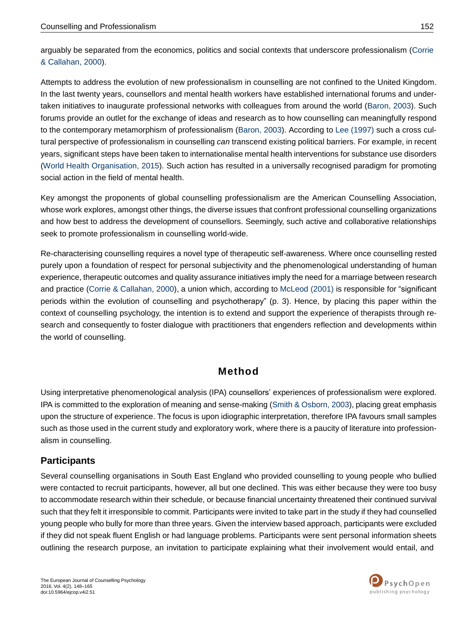arguably be separated from the economics, politics and social contexts that underscore professionalism (Corrie & Callahan, 2000).

Attempts to address the evolution of new professionalism in counselling are not confined to the United Kingdom. In the last twenty years, counsellors and mental health workers have established international forums and undertaken initiatives to inaugurate professional networks with colleagues from around the world (Baron, 2003). Such forums provide an outlet for the exchange of ideas and research as to how counselling can meaningfully respond to the contemporary metamorphism of professionalism (Baron, 2003). According to Lee (1997) such a cross cultural perspective of professionalism in counselling *can* transcend existing political barriers. For example, in recent years, significant steps have been taken to internationalise mental health interventions for substance use disorders (World Health Organisation, 2015). Such action has resulted in a universally recognised paradigm for promoting social action in the field of mental health.

Key amongst the proponents of global counselling professionalism are the American Counselling Association, whose work explores, amongst other things, the diverse issues that confront professional counselling organizations and how best to address the development of counsellors. Seemingly, such active and collaborative relationships seek to promote professionalism in counselling world-wide.

Re-characterising counselling requires a novel type of therapeutic self-awareness. Where once counselling rested purely upon a foundation of respect for personal subjectivity and the phenomenological understanding of human experience, therapeutic outcomes and quality assurance initiatives imply the need for a marriage between research and practice (Corrie & Callahan, 2000), a union which, according to McLeod (2001) is responsible for "significant periods within the evolution of counselling and psychotherapy" (p. 3). Hence, by placing this paper within the context of counselling psychology, the intention is to extend and support the experience of therapists through research and consequently to foster dialogue with practitioners that engenders reflection and developments within the world of counselling.

## **Method**

Using interpretative phenomenological analysis (IPA) counsellors' experiences of professionalism were explored. IPA is committed to the exploration of meaning and sense-making (Smith & Osborn, 2003), placing great emphasis upon the structure of experience. The focus is upon idiographic interpretation, therefore IPA favours small samples such as those used in the current study and exploratory work, where there is a paucity of literature into professionalism in counselling.

#### **Participants**

Several counselling organisations in South East England who provided counselling to young people who bullied were contacted to recruit participants, however, all but one declined. This was either because they were too busy to accommodate research within their schedule, or because financial uncertainty threatened their continued survival such that they felt it irresponsible to commit. Participants were invited to take part in the study if they had counselled young people who bully for more than three years. Given the interview based approach, participants were excluded if they did not speak fluent English or had language problems. Participants were sent personal information sheets outlining the research purpose, an invitation to participate explaining what their involvement would entail, and

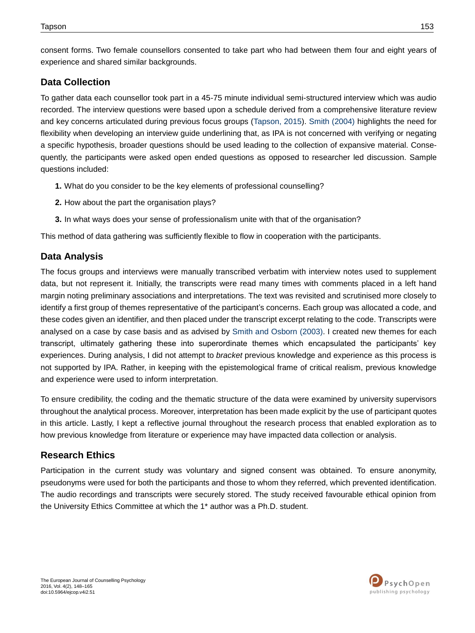consent forms. Two female counsellors consented to take part who had between them four and eight years of experience and shared similar backgrounds.

#### **Data Collection**

To gather data each counsellor took part in a 45-75 minute individual semi-structured interview which was audio recorded. The interview questions were based upon a schedule derived from a comprehensive literature review and key concerns articulated during previous focus groups (Tapson, 2015). Smith (2004) highlights the need for flexibility when developing an interview guide underlining that, as IPA is not concerned with verifying or negating a specific hypothesis, broader questions should be used leading to the collection of expansive material. Consequently, the participants were asked open ended questions as opposed to researcher led discussion. Sample questions included:

- **1.** What do you consider to be the key elements of professional counselling?
- **2.** How about the part the organisation plays?
- **3.** In what ways does your sense of professionalism unite with that of the organisation?

This method of data gathering was sufficiently flexible to flow in cooperation with the participants.

#### **Data Analysis**

The focus groups and interviews were manually transcribed verbatim with interview notes used to supplement data, but not represent it. Initially, the transcripts were read many times with comments placed in a left hand margin noting preliminary associations and interpretations. The text was revisited and scrutinised more closely to identify a first group of themes representative of the participant's concerns. Each group was allocated a code, and these codes given an identifier, and then placed under the transcript excerpt relating to the code. Transcripts were analysed on a case by case basis and as advised by Smith and Osborn (2003). I created new themes for each transcript, ultimately gathering these into superordinate themes which encapsulated the participants' key experiences. During analysis, I did not attempt to *bracket* previous knowledge and experience as this process is not supported by IPA. Rather, in keeping with the epistemological frame of critical realism, previous knowledge and experience were used to inform interpretation.

To ensure credibility, the coding and the thematic structure of the data were examined by university supervisors throughout the analytical process. Moreover, interpretation has been made explicit by the use of participant quotes in this article. Lastly, I kept a reflective journal throughout the research process that enabled exploration as to how previous knowledge from literature or experience may have impacted data collection or analysis.

#### **Research Ethics**

Participation in the current study was voluntary and signed consent was obtained. To ensure anonymity, pseudonyms were used for both the participants and those to whom they referred, which prevented identification. The audio recordings and transcripts were securely stored. The study received favourable ethical opinion from the University Ethics Committee at which the 1\* author was a Ph.D. student.

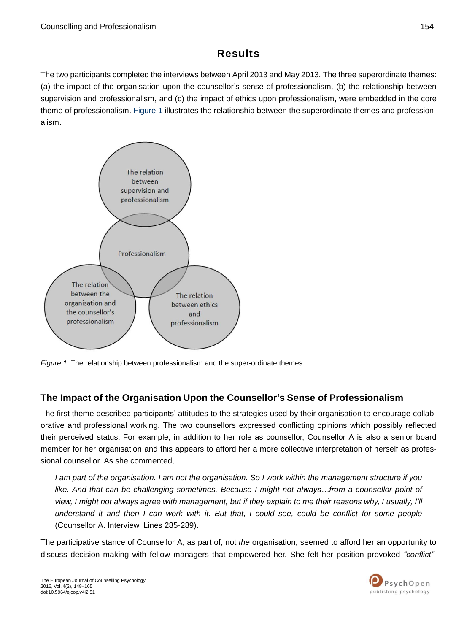## **Results**

The two participants completed the interviews between April 2013 and May 2013. The three superordinate themes: (a) the impact of the organisation upon the counsellor's sense of professionalism, (b) the relationship between supervision and professionalism, and (c) the impact of ethics upon professionalism, were embedded in the core theme of professionalism. Figure 1 illustrates the relationship between the superordinate themes and professionalism.



*Figure 1.* The relationship between professionalism and the super-ordinate themes.

#### **The Impact of the Organisation Upon the Counsellor's Sense of Professionalism**

The first theme described participants' attitudes to the strategies used by their organisation to encourage collaborative and professional working. The two counsellors expressed conflicting opinions which possibly reflected their perceived status. For example, in addition to her role as counsellor, Counsellor A is also a senior board member for her organisation and this appears to afford her a more collective interpretation of herself as professional counsellor. As she commented,

I am part of the organisation. I am not the organisation. So I work within the management structure if you *like. And that can be challenging sometimes. Because I might not always…from a counsellor point of*  view, I might not always agree with management, but if they explain to me their reasons why, I usually, I'll understand it and then I can work with it. But that, I could see, could be conflict for some people (Counsellor A. Interview, Lines 285-289).

The participative stance of Counsellor A, as part of, not *the* organisation, seemed to afford her an opportunity to discuss decision making with fellow managers that empowered her. She felt her position provoked *"conflict"*

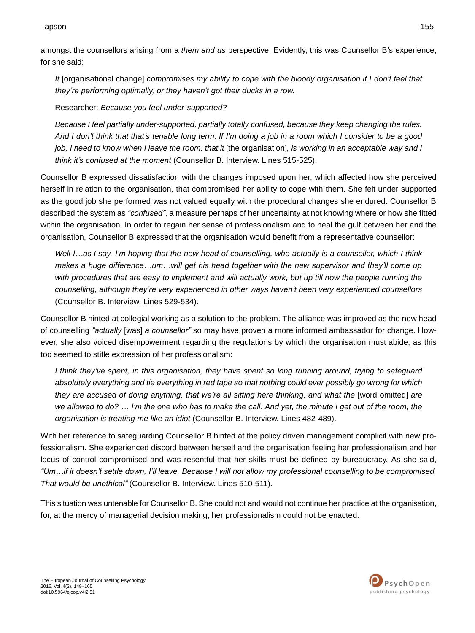amongst the counsellors arising from a *them and us* perspective. Evidently, this was Counsellor B's experience, for she said:

*It* [organisational change] *compromises my ability to cope with the bloody organisation if I don't feel that they're performing optimally, or they haven't got their ducks in a row.*

Researcher: *Because you feel under-supported?*

*Because I feel partially under-supported, partially totally confused, because they keep changing the rules.*  And I don't think that that's tenable long term. If I'm doing a job in a room which I consider to be a good job, I need to know when I leave the room, that it [the organisation], is working in an acceptable way and I *think it's confused at the moment* (Counsellor B. Interview. Lines 515-525).

Counsellor B expressed dissatisfaction with the changes imposed upon her, which affected how she perceived herself in relation to the organisation, that compromised her ability to cope with them. She felt under supported as the good job she performed was not valued equally with the procedural changes she endured. Counsellor B described the system as *"confused"*, a measure perhaps of her uncertainty at not knowing where or how she fitted within the organisation. In order to regain her sense of professionalism and to heal the gulf between her and the organisation, Counsellor B expressed that the organisation would benefit from a representative counsellor:

Well I...as I say, I'm hoping that the new head of counselling, who actually is a counsellor, which I think *makes a huge difference…um…will get his head together with the new supervisor and they'll come up*  with procedures that are easy to *implement and will actually work, but up till now the people running the counselling, although they're very experienced in other ways haven't been very experienced counsellors*  (Counsellor B. Interview. Lines 529-534).

Counsellor B hinted at collegial working as a solution to the problem. The alliance was improved as the new head of counselling *"actually* [was] *a counsellor"* so may have proven a more informed ambassador for change. However, she also voiced disempowerment regarding the regulations by which the organisation must abide, as this too seemed to stifle expression of her professionalism:

*I think they've spent, in this organisation, they have spent so long running around, trying to safeguard*  absolutely everything and tie everything in red tape so that nothing could ever possibly go wrong for which *they are accused of doing anything, that we're all sitting here thinking, and what the* [word omitted] *are*  we allowed to do? ... I'm the one who has to make the call. And yet, the minute I get out of the room, the *organisation is treating me like an idiot* (Counsellor B. Interview. Lines 482-489).

With her reference to safeguarding Counsellor B hinted at the policy driven management complicit with new professionalism. She experienced discord between herself and the organisation feeling her professionalism and her locus of control compromised and was resentful that her skills must be defined by bureaucracy. As she said, "Um...if it doesn't settle down, I'll leave. Because I will not allow my professional counselling to be compromised. *That would be unethical"* (Counsellor B. Interview. Lines 510-511).

This situation was untenable for Counsellor B. She could not and would not continue her practice at the organisation, for, at the mercy of managerial decision making, her professionalism could not be enacted.

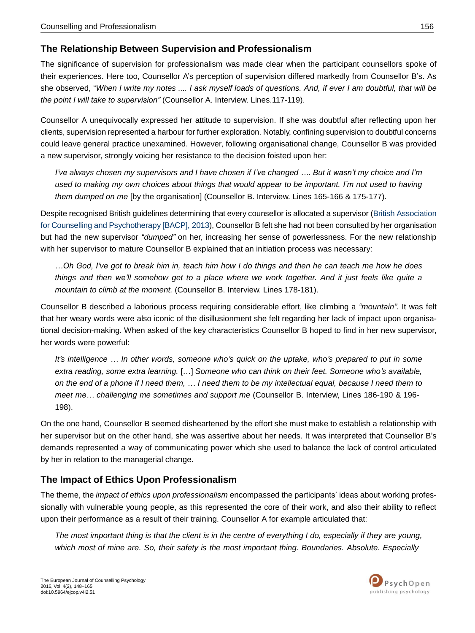#### **The Relationship Between Supervision and Professionalism**

The significance of supervision for professionalism was made clear when the participant counsellors spoke of their experiences. Here too, Counsellor A's perception of supervision differed markedly from Counsellor B's. As she observed, "When I write my notes .... I ask myself loads of questions. And, if ever I am doubtful, that will be *the point I will take to supervision"* (Counsellor A. Interview. Lines.117-119).

Counsellor A unequivocally expressed her attitude to supervision. If she was doubtful after reflecting upon her clients, supervision represented a harbour for further exploration. Notably, confining supervision to doubtful concerns could leave general practice unexamined. However, following organisational change, Counsellor B was provided a new supervisor, strongly voicing her resistance to the decision foisted upon her:

I've always chosen my supervisors and I have chosen if I've changed .... But it wasn't my choice and I'm used to making my own choices about things that would appear to be important. I'm not used to having *them dumped on me* [by the organisation] (Counsellor B. Interview. Lines 165-166 & 175-177).

Despite recognised British guidelines determining that every counsellor is allocated a supervisor (British Association for Counselling and Psychotherapy [BACP], 2013), Counsellor B felt she had not been consulted by her organisation but had the new supervisor *"dumped"* on her, increasing her sense of powerlessness. For the new relationship with her supervisor to mature Counsellor B explained that an initiation process was necessary:

...Oh God. I've got to break him in, teach him how I do things and then he can teach me how he does things and then we'll somehow get to a place where we work together. And it just feels like quite a *mountain to climb at the moment.* (Counsellor B. Interview. Lines 178-181).

Counsellor B described a laborious process requiring considerable effort, like climbing a *"mountain"*. It was felt that her weary words were also iconic of the disillusionment she felt regarding her lack of impact upon organisational decision-making. When asked of the key characteristics Counsellor B hoped to find in her new supervisor, her words were powerful:

*It's intelligence … In other words, someone who's quick on the uptake, who's prepared to put in some extra reading, some extra learning.* […] *Someone who can think on their feet. Someone who's available,*  on the end of a phone if I need them, ... I need them to be my intellectual equal, because I need them to *meet me… challenging me sometimes and support me* (Counsellor B. Interview, Lines 186-190 & 196- 198).

On the one hand, Counsellor B seemed disheartened by the effort she must make to establish a relationship with her supervisor but on the other hand, she was assertive about her needs. It was interpreted that Counsellor B's demands represented a way of communicating power which she used to balance the lack of control articulated by her in relation to the managerial change.

## **The Impact of Ethics Upon Professionalism**

The theme, the *impact of ethics upon professionalism* encompassed the participants' ideas about working professionally with vulnerable young people, as this represented the core of their work, and also their ability to reflect upon their performance as a result of their training. Counsellor A for example articulated that:

The most important thing is that the client is in the centre of everything I do, especially if they are young, *which most of mine are. So, their safety is the most important thing. Boundaries. Absolute. Especially*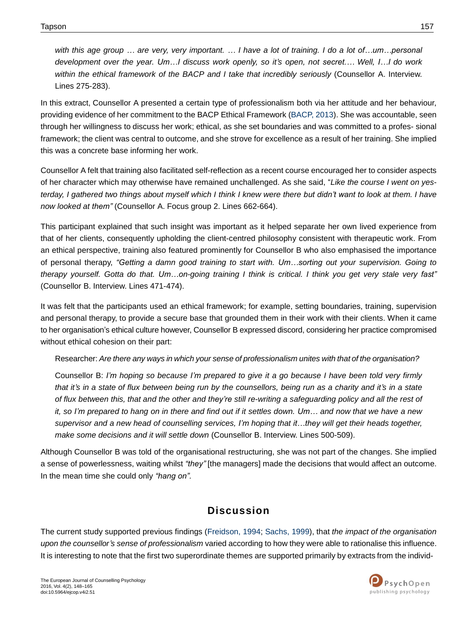with this age group ... are very, very important. ... I have a lot of training. I do a lot of...um...personal *development over the year. Um…I discuss work openly, so it's open, not secret.… Well, I…I do work within the ethical framework of the BACP and I take that incredibly seriously* (Counsellor A. Interview. Lines 275-283).

In this extract, Counsellor A presented a certain type of professionalism both via her attitude and her behaviour, providing evidence of her commitment to the BACP Ethical Framework (BACP, 2013). She was accountable, seen through her willingness to discuss her work; ethical, as she set boundaries and was committed to a profes- sional framework; the client was central to outcome, and she strove for excellence as a result of her training. She implied this was a concrete base informing her work.

Counsellor A felt that training also facilitated self-reflection as a recent course encouraged her to consider aspects of her character which may otherwise have remained unchallenged. As she said, "*Like the course I went on yesterday, I gathered two things about myself which I think I knew were there but didn't want to look at them. I have now looked at them"* (Counsellor A. Focus group 2. Lines 662-664).

This participant explained that such insight was important as it helped separate her own lived experience from that of her clients, consequently upholding the client-centred philosophy consistent with therapeutic work. From an ethical perspective, training also featured prominently for Counsellor B who also emphasised the importance of personal therapy, *"Getting a damn good training to start with. Um…sorting out your supervision. Going to*  therapy yourself. Gotta do that. Um...on-going training I think is critical. I think you get very stale very fast" (Counsellor B. Interview. Lines 471-474).

It was felt that the participants used an ethical framework; for example, setting boundaries, training, supervision and personal therapy, to provide a secure base that grounded them in their work with their clients. When it came to her organisation's ethical culture however, Counsellor B expressed discord, considering her practice compromised without ethical cohesion on their part:

Researcher: *Are there any ways in which your sense of professionalism unites with that of the organisation?*

Counsellor B: *I'm hoping so because I'm prepared to give it a go because I have been told very firmly*  that it's in a state of flux between being run by the counsellors, being run as a charity and it's in a state of flux between this, that and the other and they're still re-writing a safeguarding policy and all the rest of it, so I'm prepared to hang on in there and find out if it settles down. Um... and now that we have a new supervisor and a new head of counselling services, I'm hoping that it...they will get their heads together, *make some decisions and it will settle down* (Counsellor B. Interview. Lines 500-509).

Although Counsellor B was told of the organisational restructuring, she was not part of the changes. She implied a sense of powerlessness, waiting whilst *"they"* [the managers] made the decisions that would affect an outcome. In the mean time she could only *"hang on".*

## **Discussion**

The current study supported previous findings (Freidson, 1994; Sachs, 1999), that *the impact of the organisation upon the counsellor's sense of professionalism* varied according to how they were able to rationalise this influence. It is interesting to note that the first two superordinate themes are supported primarily by extracts from the individ-

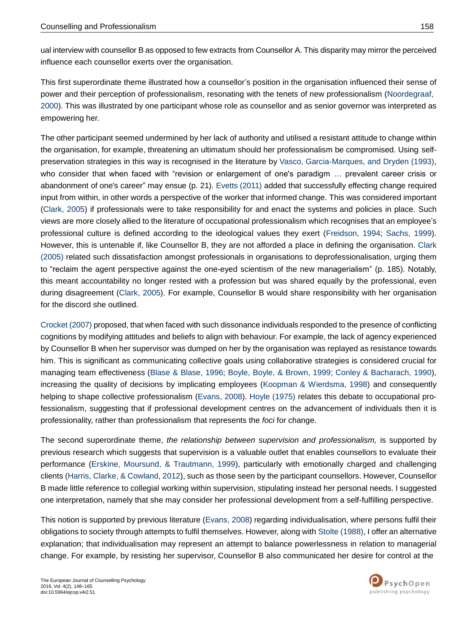ual interview with counsellor B as opposed to few extracts from Counsellor A. This disparity may mirror the perceived influence each counsellor exerts over the organisation.

This first superordinate theme illustrated how a counsellor's position in the organisation influenced their sense of power and their perception of professionalism, resonating with the tenets of new professionalism (Noordegraaf, 2000). This was illustrated by one participant whose role as counsellor and as senior governor was interpreted as empowering her.

The other participant seemed undermined by her lack of authority and utilised a resistant attitude to change within the organisation, for example, threatening an ultimatum should her professionalism be compromised. Using selfpreservation strategies in this way is recognised in the literature by Vasco, Garcia-Marques, and Dryden (1993), who consider that when faced with "revision or enlargement of one's paradigm ... prevalent career crisis or abandonment of one's career" may ensue (p. 21). Evetts (2011) added that successfully effecting change required input from within, in other words a perspective of the worker that informed change. This was considered important (Clark, 2005) if professionals were to take responsibility for and enact the systems and policies in place. Such views are more closely allied to the literature of occupational professionalism which recognises that an employee's professional culture is defined according to the ideological values they exert (Freidson, 1994; Sachs, 1999). However, this is untenable if, like Counsellor B, they are not afforded a place in defining the organisation. Clark (2005) related such dissatisfaction amongst professionals in organisations to deprofessionalisation, urging them to "reclaim the agent perspective against the one-eyed scientism of the new managerialism" (p. 185). Notably, this meant accountability no longer rested with a profession but was shared equally by the professional, even during disagreement (Clark, 2005). For example, Counsellor B would share responsibility with her organisation for the discord she outlined.

Crocket (2007) proposed, that when faced with such dissonance individuals responded to the presence of conflicting cognitions by modifying attitudes and beliefs to align with behaviour. For example, the lack of agency experienced by Counsellor B when her supervisor was dumped on her by the organisation was replayed as resistance towards him. This is significant as communicating collective goals using collaborative strategies is considered crucial for managing team effectiveness (Blase & Blase, 1996; Boyle, Boyle, & Brown, 1999; Conley & Bacharach, 1990), increasing the quality of decisions by implicating employees (Koopman & Wierdsma, 1998) and consequently helping to shape collective professionalism (Evans, 2008). Hoyle (1975) relates this debate to occupational professionalism, suggesting that if professional development centres on the advancement of individuals then it is professionality, rather than professionalism that represents the *foci* for change.

The second superordinate theme, *the relationship between supervision and professionalism,* is supported by previous research which suggests that supervision is a valuable outlet that enables counsellors to evaluate their performance (Erskine, Moursund, & Trautmann, 1999), particularly with emotionally charged and challenging clients (Harris, Clarke, & Cowland, 2012), such as those seen by the participant counsellors. However, Counsellor B made little reference to collegial working within supervision, stipulating instead her personal needs. I suggested one interpretation, namely that she may consider her professional development from a self-fulfilling perspective.

This notion is supported by previous literature (Evans, 2008) regarding individualisation, where persons fulfil their obligations to society through attempts to fulfil themselves. However, along with Stolte (1988), I offer an alternative explanation; that individualisation may represent an attempt to balance powerlessness in relation to managerial change. For example, by resisting her supervisor, Counsellor B also communicated her desire for control at the

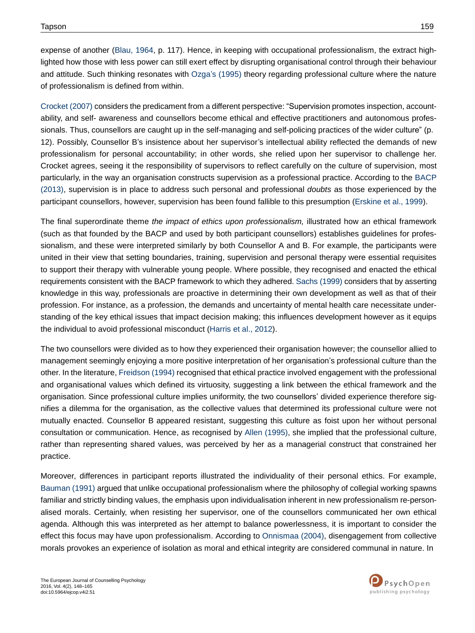expense of another (Blau, 1964, p. 117). Hence, in keeping with occupational professionalism, the extract highlighted how those with less power can still exert effect by disrupting organisational control through their behaviour and attitude. Such thinking resonates with Ozga's (1995) theory regarding professional culture where the nature of professionalism is defined from within.

Crocket (2007) considers the predicament from a different perspective: "Supervision promotes inspection, accountability, and self- awareness and counsellors become ethical and effective practitioners and autonomous professionals. Thus, counsellors are caught up in the self-managing and self-policing practices of the wider culture" (p. 12). Possibly, Counsellor B's insistence about her supervisor's intellectual ability reflected the demands of new professionalism for personal accountability; in other words, she relied upon her supervisor to challenge her. Crocket agrees, seeing it the responsibility of supervisors to reflect carefully on the culture of supervision, most particularly, in the way an organisation constructs supervision as a professional practice. According to the BACP (2013), supervision is in place to address such personal and professional *doubts* as those experienced by the participant counsellors, however, supervision has been found fallible to this presumption (Erskine et al., 1999).

The final superordinate theme *the impact of ethics upon professionalism,* illustrated how an ethical framework (such as that founded by the BACP and used by both participant counsellors) establishes guidelines for professionalism, and these were interpreted similarly by both Counsellor A and B. For example, the participants were united in their view that setting boundaries, training, supervision and personal therapy were essential requisites to support their therapy with vulnerable young people. Where possible, they recognised and enacted the ethical requirements consistent with the BACP framework to which they adhered. Sachs (1999) considers that by asserting knowledge in this way, professionals are proactive in determining their own development as well as that of their profession. For instance, as a profession, the demands and uncertainty of mental health care necessitate understanding of the key ethical issues that impact decision making; this influences development however as it equips the individual to avoid professional misconduct (Harris et al., 2012).

The two counsellors were divided as to how they experienced their organisation however; the counsellor allied to management seemingly enjoying a more positive interpretation of her organisation's professional culture than the other. In the literature, Freidson (1994) recognised that ethical practice involved engagement with the professional and organisational values which defined its virtuosity, suggesting a link between the ethical framework and the organisation. Since professional culture implies uniformity, the two counsellors' divided experience therefore signifies a dilemma for the organisation, as the collective values that determined its professional culture were not mutually enacted. Counsellor B appeared resistant, suggesting this culture as foist upon her without personal consultation or communication. Hence, as recognised by Allen (1995), she implied that the professional culture, rather than representing shared values, was perceived by her as a managerial construct that constrained her practice.

Moreover, differences in participant reports illustrated the individuality of their personal ethics. For example, Bauman (1991) argued that unlike occupational professionalism where the philosophy of collegial working spawns familiar and strictly binding values, the emphasis upon individualisation inherent in new professionalism re-personalised morals. Certainly, when resisting her supervisor, one of the counsellors communicated her own ethical agenda. Although this was interpreted as her attempt to balance powerlessness, it is important to consider the effect this focus may have upon professionalism. According to Onnismaa (2004), disengagement from collective morals provokes an experience of isolation as moral and ethical integrity are considered communal in nature. In

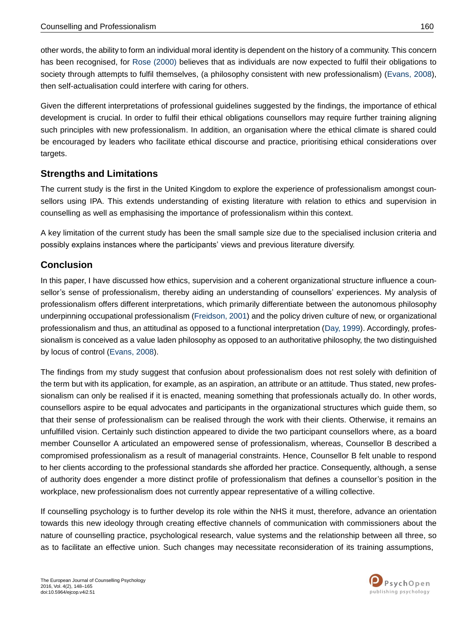other words, the ability to form an individual moral identity is dependent on the history of a community. This concern has been recognised, for Rose (2000) believes that as individuals are now expected to fulfil their obligations to society through attempts to fulfil themselves, (a philosophy consistent with new professionalism) (Evans, 2008), then self-actualisation could interfere with caring for others.

Given the different interpretations of professional guidelines suggested by the findings, the importance of ethical development is crucial. In order to fulfil their ethical obligations counsellors may require further training aligning such principles with new professionalism. In addition, an organisation where the ethical climate is shared could be encouraged by leaders who facilitate ethical discourse and practice, prioritising ethical considerations over targets.

#### **Strengths and Limitations**

The current study is the first in the United Kingdom to explore the experience of professionalism amongst counsellors using IPA. This extends understanding of existing literature with relation to ethics and supervision in counselling as well as emphasising the importance of professionalism within this context.

A key limitation of the current study has been the small sample size due to the specialised inclusion criteria and possibly explains instances where the participants' views and previous literature diversify.

#### **Conclusion**

In this paper, I have discussed how ethics, supervision and a coherent organizational structure influence a counsellor's sense of professionalism, thereby aiding an understanding of counsellors' experiences. My analysis of professionalism offers different interpretations, which primarily differentiate between the autonomous philosophy underpinning occupational professionalism (Freidson, 2001) and the policy driven culture of new, or organizational professionalism and thus, an attitudinal as opposed to a functional interpretation (Day, 1999). Accordingly, professionalism is conceived as a value laden philosophy as opposed to an authoritative philosophy, the two distinguished by locus of control (Evans, 2008).

The findings from my study suggest that confusion about professionalism does not rest solely with definition of the term but with its application, for example, as an aspiration, an attribute or an attitude. Thus stated, new professionalism can only be realised if it is enacted, meaning something that professionals actually do. In other words, counsellors aspire to be equal advocates and participants in the organizational structures which guide them, so that their sense of professionalism can be realised through the work with their clients. Otherwise, it remains an unfulfilled vision. Certainly such distinction appeared to divide the two participant counsellors where, as a board member Counsellor A articulated an empowered sense of professionalism, whereas, Counsellor B described a compromised professionalism as a result of managerial constraints. Hence, Counsellor B felt unable to respond to her clients according to the professional standards she afforded her practice. Consequently, although, a sense of authority does engender a more distinct profile of professionalism that defines a counsellor's position in the workplace, new professionalism does not currently appear representative of a willing collective.

If counselling psychology is to further develop its role within the NHS it must, therefore, advance an orientation towards this new ideology through creating effective channels of communication with commissioners about the nature of counselling practice, psychological research, value systems and the relationship between all three, so as to facilitate an effective union. Such changes may necessitate reconsideration of its training assumptions,

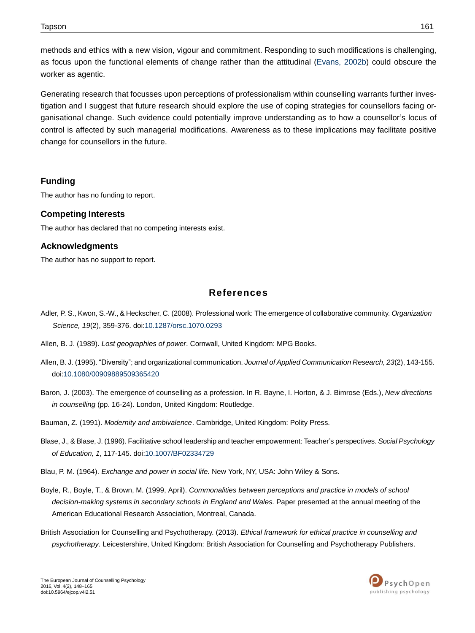methods and ethics with a new vision, vigour and commitment. Responding to such modifications is challenging, as focus upon the functional elements of change rather than the attitudinal (Evans, 2002b) could obscure the worker as agentic.

Generating research that focusses upon perceptions of professionalism within counselling warrants further investigation and I suggest that future research should explore the use of coping strategies for counsellors facing organisational change. Such evidence could potentially improve understanding as to how a counsellor's locus of control is affected by such managerial modifications. Awareness as to these implications may facilitate positive change for counsellors in the future.

#### **Funding**

The author has no funding to report.

#### **Competing Interests**

The author has declared that no competing interests exist.

#### **Acknowledgments**

The author has no support to report.

#### **References**

- Adler, P. S., Kwon, S.-W., & Heckscher, C. (2008). Professional work: The emergence of collaborative community. *Organization Science, 19*(2), 359-376. do[i:10.1287/orsc.1070.0293](http://dx.doi.org/10.1287%2Forsc.1070.0293)
- Allen, B. J. (1989). *Lost geographies of power*. Cornwall, United Kingdom: MPG Books.
- Allen, B. J. (1995). "Diversity"; and organizational communication. *Journal of Applied Communication Research, 23*(2), 143-155. do[i:10.1080/00909889509365420](http://dx.doi.org/10.1080%2F00909889509365420)
- Baron, J. (2003). The emergence of counselling as a profession. In R. Bayne, I. Horton, & J. Bimrose (Eds.), *New directions in counselling* (pp. 16-24). London, United Kingdom: Routledge.
- Bauman, Z. (1991). *Modernity and ambivalence*. Cambridge, United Kingdom: Polity Press.
- Blase, J., & Blase, J. (1996). Facilitative school leadership and teacher empowerment: Teacher's perspectives. *Social Psychology of Education, 1*, 117-145. doi[:10.1007/BF02334729](http://dx.doi.org/10.1007%2FBF02334729)
- Blau, P. M. (1964). *Exchange and power in social life.* New York, NY, USA: John Wiley & Sons.
- Boyle, R., Boyle, T., & Brown, M. (1999, April). *Commonalities between perceptions and practice in models of school decision-making systems in secondary schools in England and Wales.* Paper presented at the annual meeting of the American Educational Research Association, Montreal, Canada.
- British Association for Counselling and Psychotherapy. (2013). *Ethical framework for ethical practice in counselling and psychotherapy*. Leicestershire, United Kingdom: British Association for Counselling and Psychotherapy Publishers.

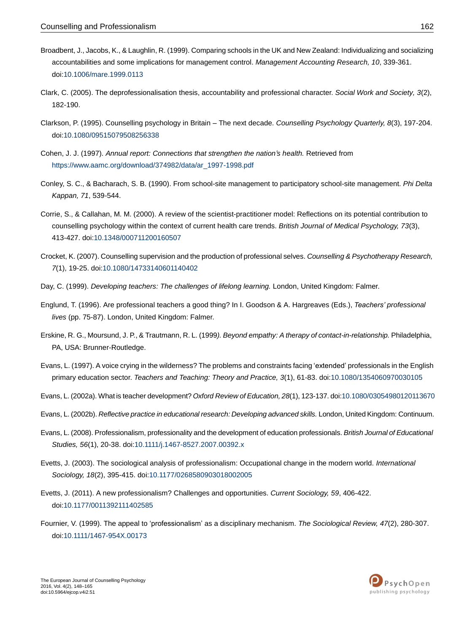- Broadbent, J., Jacobs, K., & Laughlin, R. (1999). Comparing schools in the UK and New Zealand: Individualizing and socializing accountabilities and some implications for management control. *Management Accounting Research, 10*, 339-361. do[i:10.1006/mare.1999.0113](http://dx.doi.org/10.1006%2Fmare.1999.0113)
- Clark, C. (2005). The deprofessionalisation thesis, accountability and professional character. *Social Work and Society, 3*(2), 182-190.
- Clarkson, P. (1995). Counselling psychology in Britain The next decade. *Counselling Psychology Quarterly, 8*(3), 197-204. do[i:10.1080/09515079508256338](http://dx.doi.org/10.1080%2F09515079508256338)
- Cohen, J. J. (1997). *Annual report: Connections that strengthen the nation's health.* Retrieved from [https://www.aamc.org/download/374982/data/ar\\_1997-1998.pdf](https://www.aamc.org/download/374982/data/ar_1997-1998.pdf)
- Conley, S. C., & Bacharach, S. B. (1990). From school-site management to participatory school-site management. *Phi Delta Kappan, 71*, 539-544.
- Corrie, S., & Callahan, M. M. (2000). A review of the scientist-practitioner model: Reflections on its potential contribution to counselling psychology within the context of current health care trends. *British Journal of Medical Psychology, 73*(3), 413-427. do[i:10.1348/000711200160507](http://dx.doi.org/10.1348%2F000711200160507)
- Crocket, K. (2007). Counselling supervision and the production of professional selves. *Counselling & Psychotherapy Research, 7*(1), 19-25. do[i:10.1080/14733140601140402](http://dx.doi.org/10.1080%2F14733140601140402)
- Day, C. (1999). *Developing teachers: The challenges of lifelong learning.* London, United Kingdom: Falmer.
- Englund, T. (1996). Are professional teachers a good thing? In I. Goodson & A. Hargreaves (Eds.), *Teachers' professional lives* (pp. 75-87). London, United Kingdom: Falmer.
- Erskine, R. G., Moursund, J. P., & Trautmann, R. L. (1999*). Beyond empathy: A therapy of contact-in-relationship.* Philadelphia, PA, USA: Brunner-Routledge.
- Evans, L. (1997). A voice crying in the wilderness? The problems and constraints facing 'extended' professionals in the English primary education sector. *Teachers and Teaching: Theory and Practice, 3*(1), 61-83. doi[:10.1080/1354060970030105](http://dx.doi.org/10.1080%2F1354060970030105)
- Evans, L. (2002a). What is teacher development? *Oxford Review of Education, 28*(1), 123-137. do[i:10.1080/03054980120113670](http://dx.doi.org/10.1080%2F03054980120113670)
- Evans, L. (2002b). *Reflective practice in educational research: Developing advanced skills.* London, United Kingdom: Continuum.
- Evans, L. (2008). Professionalism, professionality and the development of education professionals. *British Journal of Educational Studies, 56*(1), 20-38. do[i:10.1111/j.1467-8527.2007.00392.x](http://dx.doi.org/10.1111%2Fj.1467-8527.2007.00392.x)
- Evetts, J. (2003). The sociological analysis of professionalism: Occupational change in the modern world. *International Sociology, 18*(2), 395-415. doi[:10.1177/0268580903018002005](http://dx.doi.org/10.1177%2F0268580903018002005)
- Evetts, J. (2011). A new professionalism? Challenges and opportunities. *Current Sociology, 59*, 406-422. do[i:10.1177/0011392111402585](http://dx.doi.org/10.1177%2F0011392111402585)
- Fournier, V. (1999). The appeal to 'professionalism' as a disciplinary mechanism. *The Sociological Review, 47*(2), 280-307. do[i:10.1111/1467-954X.00173](http://dx.doi.org/10.1111%2F1467-954X.00173)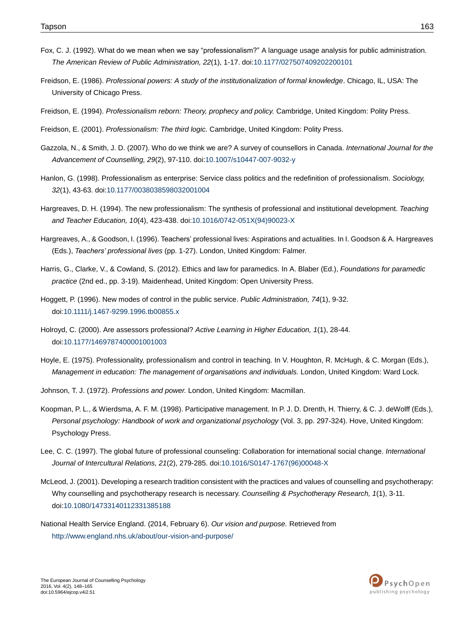- Fox, C. J. (1992). What do we mean when we say "professionalism?" A language usage analysis for public administration. *The American Review of Public Administration, 22*(1), 1-17. doi[:10.1177/027507409202200101](http://dx.doi.org/10.1177%2F027507409202200101)
- Freidson, E. (1986). *Professional powers: A study of the institutionalization of formal knowledge*. Chicago, IL, USA: The University of Chicago Press.
- Freidson, E. (1994). *Professionalism reborn: Theory, prophecy and policy.* Cambridge, United Kingdom: Polity Press.
- Freidson, E. (2001). *Professionalism: The third logic.* Cambridge, United Kingdom: Polity Press.
- Gazzola, N., & Smith, J. D. (2007). Who do we think we are? A survey of counsellors in Canada. *International Journal for the Advancement of Counselling, 29*(2), 97-110. do[i:10.1007/s10447-007-9032-y](http://dx.doi.org/10.1007%2Fs10447-007-9032-y)
- Hanlon, G. (1998). Professionalism as enterprise: Service class politics and the redefinition of professionalism. *Sociology, 32*(1), 43-63. do[i:10.1177/0038038598032001004](http://dx.doi.org/10.1177%2F0038038598032001004)
- Hargreaves, D. H. (1994). The new professionalism: The synthesis of professional and institutional development. *Teaching and Teacher Education, 10*(4), 423-438. doi[:10.1016/0742-051X\(94\)90023-X](http://dx.doi.org/10.1016%2F0742-051X%2894%2990023-X)
- Hargreaves, A., & Goodson, I. (1996). Teachers' professional lives: Aspirations and actualities. In I. Goodson & A. Hargreaves (Eds.), *Teachers' professional lives* (pp. 1-27). London, United Kingdom: Falmer.
- Harris, G., Clarke, V., & Cowland, S. (2012). Ethics and law for paramedics. In A. Blaber (Ed.), *Foundations for paramedic practice* (2nd ed., pp. 3-19). Maidenhead, United Kingdom: Open University Press.
- Hoggett, P. (1996). New modes of control in the public service. *Public Administration, 74*(1), 9-32. do[i:10.1111/j.1467-9299.1996.tb00855.x](http://dx.doi.org/10.1111%2Fj.1467-9299.1996.tb00855.x)
- Holroyd, C. (2000). Are assessors professional? *Active Learning in Higher Education, 1*(1), 28-44. do[i:10.1177/1469787400001001003](http://dx.doi.org/10.1177%2F1469787400001001003)
- Hoyle, E. (1975). Professionality, professionalism and control in teaching. In V. Houghton, R. McHugh, & C. Morgan (Eds.), *Management in education: The management of organisations and individuals.* London, United Kingdom: Ward Lock.
- Johnson, T. J. (1972). *Professions and power.* London, United Kingdom: Macmillan.
- Koopman, P. L., & Wierdsma, A. F. M. (1998). Participative management. In P. J. D. Drenth, H. Thierry, & C. J. deWolff (Eds.), *Personal psychology: Handbook of work and organizational psychology* (Vol. 3, pp. 297-324). Hove, United Kingdom: Psychology Press.
- Lee, C. C. (1997). The global future of professional counseling: Collaboration for international social change. *International Journal of Intercultural Relations, 21*(2), 279-285. do[i:10.1016/S0147-1767\(96\)00048-X](http://dx.doi.org/10.1016%2FS0147-1767%2896%2900048-X)
- McLeod, J. (2001). Developing a research tradition consistent with the practices and values of counselling and psychotherapy: Why counselling and psychotherapy research is necessary. *Counselling & Psychotherapy Research, 1*(1), 3-11. do[i:10.1080/14733140112331385188](http://dx.doi.org/10.1080%2F14733140112331385188)
- National Health Service England. (2014, February 6). *Our vision and purpose.* Retrieved from <http://www.england.nhs.uk/about/our-vision-and-purpose/>

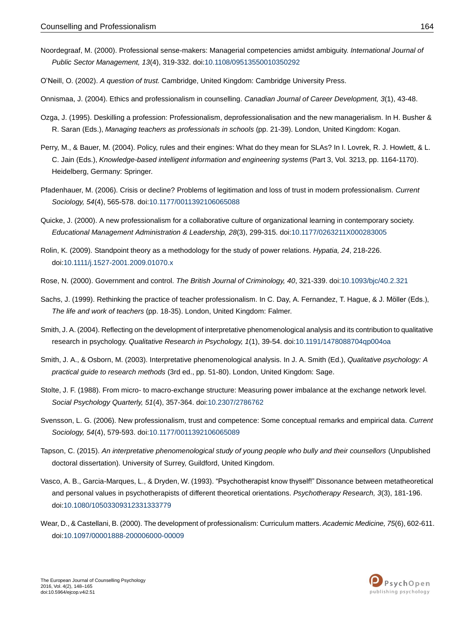- Noordegraaf, M. (2000). Professional sense-makers: Managerial competencies amidst ambiguity. *International Journal of Public Sector Management, 13*(4), 319-332. do[i:10.1108/09513550010350292](http://dx.doi.org/10.1108%2F09513550010350292)
- O'Neill, O. (2002). *A question of trust.* Cambridge, United Kingdom: Cambridge University Press.
- Onnismaa, J. (2004). Ethics and professionalism in counselling. *Canadian Journal of Career Development, 3*(1), 43-48.
- Ozga, J. (1995). Deskilling a profession: Professionalism, deprofessionalisation and the new managerialism. In H. Busher & R. Saran (Eds.), *Managing teachers as professionals in schools* (pp. 21-39). London, United Kingdom: Kogan.
- Perry, M., & Bauer, M. (2004). Policy, rules and their engines: What do they mean for SLAs? In I. Lovrek, R. J. Howlett, & L. C. Jain (Eds.), *Knowledge-based intelligent information and engineering systems* (Part 3, Vol. 3213, pp. 1164-1170). Heidelberg, Germany: Springer.
- Pfadenhauer, M. (2006). Crisis or decline? Problems of legitimation and loss of trust in modern professionalism. *Current Sociology, 54*(4), 565-578. doi[:10.1177/0011392106065088](http://dx.doi.org/10.1177%2F0011392106065088)
- Quicke, J. (2000). A new professionalism for a collaborative culture of organizational learning in contemporary society. *Educational Management Administration & Leadership, 28*(3), 299-315. do[i:10.1177/0263211X000283005](http://dx.doi.org/10.1177%2F0263211X000283005)
- Rolin, K. (2009). Standpoint theory as a methodology for the study of power relations. *Hypatia, 24*, 218-226. do[i:10.1111/j.1527-2001.2009.01070.x](http://dx.doi.org/10.1111%2Fj.1527-2001.2009.01070.x)
- Rose, N. (2000). Government and control. *The British Journal of Criminology, 40*, 321-339. doi[:10.1093/bjc/40.2.321](http://dx.doi.org/10.1093%2Fbjc%2F40.2.321)
- Sachs, J. (1999). Rethinking the practice of teacher professionalism. In C. Day, A. Fernandez, T. Hague, & J. Mӧller (Eds.), *The life and work of teachers* (pp. 18-35). London, United Kingdom: Falmer.
- Smith, J. A. (2004). Reflecting on the development of interpretative phenomenological analysis and its contribution to qualitative research in psychology. *Qualitative Research in Psychology, 1*(1), 39-54. doi[:10.1191/1478088704qp004oa](http://dx.doi.org/10.1191%2F1478088704qp004oa)
- Smith, J. A., & Osborn, M. (2003). Interpretative phenomenological analysis. In J. A. Smith (Ed.), *Qualitative psychology: A practical guide to research methods* (3rd ed., pp. 51-80). London, United Kingdom: Sage.
- Stolte, J. F. (1988). From micro- to macro-exchange structure: Measuring power imbalance at the exchange network level. *Social Psychology Quarterly, 51*(4), 357-364. do[i:10.2307/2786762](http://dx.doi.org/10.2307%2F2786762)
- Svensson, L. G. (2006). New professionalism, trust and competence: Some conceptual remarks and empirical data. *Current Sociology, 54*(4), 579-593. doi[:10.1177/0011392106065089](http://dx.doi.org/10.1177%2F0011392106065089)
- Tapson, C. (2015). *An interpretative phenomenological study of young people who bully and their counsellors* (Unpublished doctoral dissertation). University of Surrey, Guildford, United Kingdom.
- Vasco, A. B., Garcia-Marques, L., & Dryden, W. (1993). "Psychotherapist know thyself!" Dissonance between metatheoretical and personal values in psychotherapists of different theoretical orientations. *Psychotherapy Research, 3*(3), 181-196. do[i:10.1080/10503309312331333779](http://dx.doi.org/10.1080%2F10503309312331333779)
- Wear, D., & Castellani, B. (2000). The development of professionalism: Curriculum matters.*Academic Medicine, 75*(6), 602-611. do[i:10.1097/00001888-200006000-00009](http://dx.doi.org/10.1097%2F00001888-200006000-00009)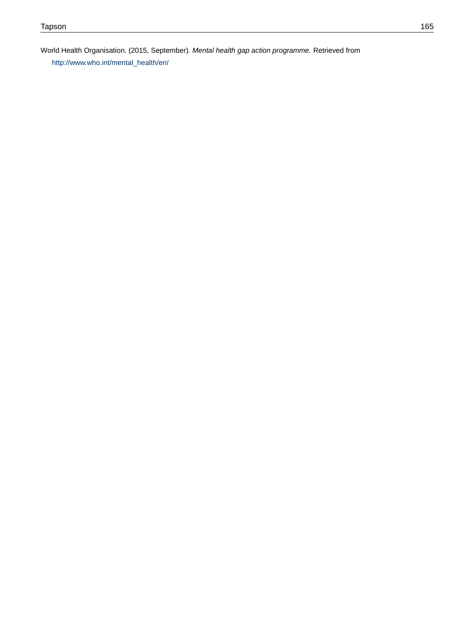World Health Organisation. (2015, September). *Mental health gap action programme.* Retrieved from [http://www.who.int/mental\\_health/en/](http://www.who.int/mental_health/en/)